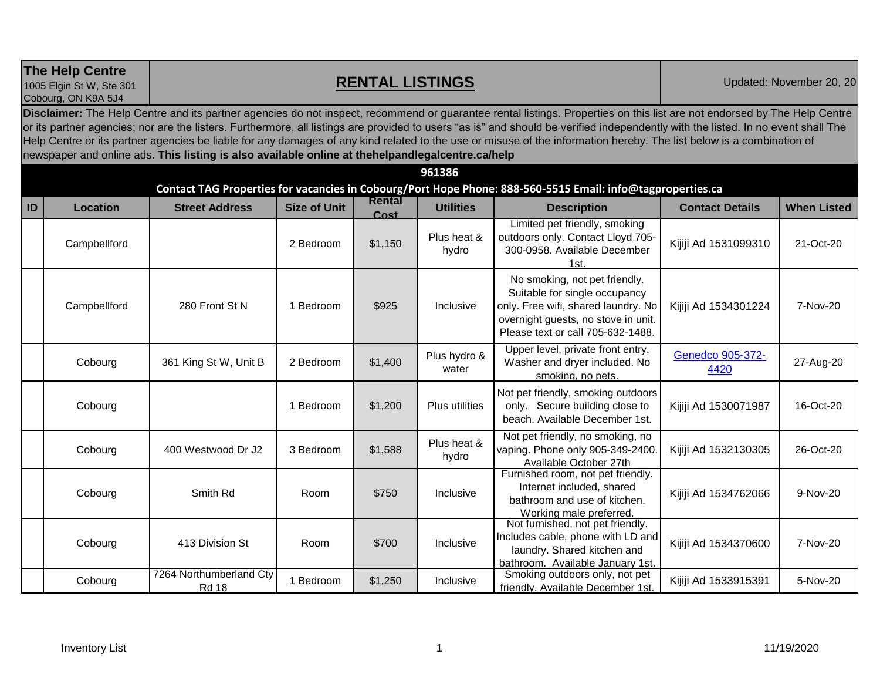**The Help Centre** 

## **RENTAL LISTINGS** Updated: November 20, 20

1005 Elgin St W, Ste 301 Cobourg, ON K9A 5J4

**Disclaimer:** The Help Centre and its partner agencies do not inspect, recommend or guarantee rental listings. Properties on this list are not endorsed by The Help Centre or its partner agencies; nor are the listers. Furthermore, all listings are provided to users "as is" and should be verified independently with the listed. In no event shall The Help Centre or its partner agencies be liable for any damages of any kind related to the use or misuse of the information hereby. The list below is a combination of newspaper and online ads. **This listing is also available online at thehelpandlegalcentre.ca/help**

| 961386                                                                                                     |                 |                                         |                     |                |                       |                                                                                                                                                                                   |                          |                    |  |  |  |  |
|------------------------------------------------------------------------------------------------------------|-----------------|-----------------------------------------|---------------------|----------------|-----------------------|-----------------------------------------------------------------------------------------------------------------------------------------------------------------------------------|--------------------------|--------------------|--|--|--|--|
| Contact TAG Properties for vacancies in Cobourg/Port Hope Phone: 888-560-5515 Email: info@tagproperties.ca |                 |                                         |                     |                |                       |                                                                                                                                                                                   |                          |                    |  |  |  |  |
| ID                                                                                                         | <b>Location</b> | <b>Street Address</b>                   | <b>Size of Unit</b> | Rental<br>Cost | <b>Utilities</b>      | <b>Description</b>                                                                                                                                                                | <b>Contact Details</b>   | <b>When Listed</b> |  |  |  |  |
|                                                                                                            | Campbellford    |                                         | 2 Bedroom           | \$1,150        | Plus heat &<br>hydro  | Limited pet friendly, smoking<br>outdoors only. Contact Lloyd 705-<br>300-0958. Available December<br>1st.                                                                        | Kijiji Ad 1531099310     | 21-Oct-20          |  |  |  |  |
|                                                                                                            | Campbellford    | 280 Front St N                          | 1 Bedroom           | \$925          | Inclusive             | No smoking, not pet friendly.<br>Suitable for single occupancy<br>only. Free wifi, shared laundry. No<br>overnight guests, no stove in unit.<br>Please text or call 705-632-1488. | Kijiji Ad 1534301224     | 7-Nov-20           |  |  |  |  |
|                                                                                                            | Cobourg         | 361 King St W, Unit B                   | 2 Bedroom           | \$1,400        | Plus hydro &<br>water | Upper level, private front entry.<br>Washer and dryer included. No<br>smoking, no pets.                                                                                           | Genedco 905-372-<br>4420 | 27-Aug-20          |  |  |  |  |
|                                                                                                            | Cobourg         |                                         | 1 Bedroom           | \$1,200        | <b>Plus utilities</b> | Not pet friendly, smoking outdoors<br>only. Secure building close to<br>beach. Available December 1st.                                                                            | Kijiji Ad 1530071987     | 16-Oct-20          |  |  |  |  |
|                                                                                                            | Cobourg         | 400 Westwood Dr J2                      | 3 Bedroom           | \$1,588        | Plus heat &<br>hydro  | Not pet friendly, no smoking, no<br>vaping. Phone only 905-349-2400<br>Available October 27th                                                                                     | Kijiji Ad 1532130305     | 26-Oct-20          |  |  |  |  |
|                                                                                                            | Cobourg         | Smith Rd                                | Room                | \$750          | Inclusive             | Furnished room, not pet friendly.<br>Internet included, shared<br>bathroom and use of kitchen.<br>Working male preferred.                                                         | Kijiji Ad 1534762066     | 9-Nov-20           |  |  |  |  |
|                                                                                                            | Cobourg         | 413 Division St                         | Room                | \$700          | Inclusive             | Not furnished, not pet friendly.<br>Includes cable, phone with LD and<br>laundry. Shared kitchen and<br>bathroom. Available January 1st.                                          | Kijiji Ad 1534370600     | 7-Nov-20           |  |  |  |  |
|                                                                                                            | Cobourg         | 7264 Northumberland Cty<br><b>Rd 18</b> | 1 Bedroom           | \$1,250        | Inclusive             | Smoking outdoors only, not pet<br>friendly. Available December 1st.                                                                                                               | Kijiji Ad 1533915391     | 5-Nov-20           |  |  |  |  |